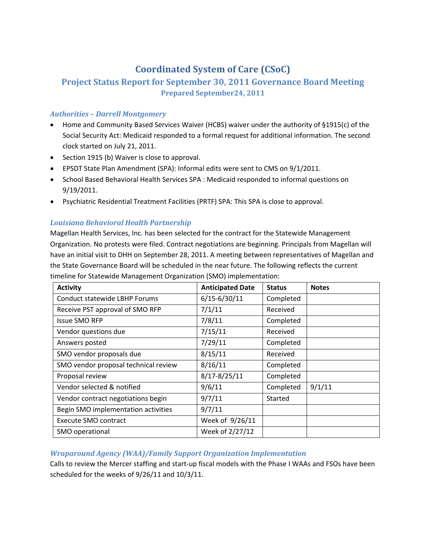# **Coordinated System of Care (CSoC)**

# **Project Status Report for September 30, 2011 Governance Board Meeting Prepared September24, 2011**

#### *Authorities – Darrell Montgomery*

- Home and Community Based Services Waiver (HCBS) waiver under the authority of §1915(c) of the Social Security Act: Medicaid responded to a formal request for additional information. The second clock started on July 21, 2011.
- Section 1915 (b) Waiver is close to approval.
- EPSDT State Plan Amendment (SPA): Informal edits were sent to CMS on 9/1/2011.
- School Based Behavioral Health Services SPA : Medicaid responded to informal questions on 9/19/2011.
- Psychiatric Residential Treatment Facilities (PRTF) SPA: This SPA is close to approval.

#### *Louisiana Behavioral Health Partnership*

Magellan Health Services, Inc. has been selected for the contract for the Statewide Management Organization. No protests were filed. Contract negotiations are beginning. Principals from Magellan will have an initial visit to DHH on September 28, 2011. A meeting between representatives of Magellan and the State Governance Board will be scheduled in the near future. The following reflects the current timeline for Statewide Management Organization (SMO) implementation:

| <b>Activity</b>                      | <b>Anticipated Date</b> | <b>Status</b> | <b>Notes</b> |
|--------------------------------------|-------------------------|---------------|--------------|
| <b>Conduct statewide LBHP Forums</b> | $6/15 - 6/30/11$        | Completed     |              |
| Receive PST approval of SMO RFP      | 7/1/11                  | Received      |              |
| <b>Issue SMO RFP</b>                 | 7/8/11                  | Completed     |              |
| Vendor questions due                 | 7/15/11                 | Received      |              |
| Answers posted                       | 7/29/11                 | Completed     |              |
| SMO vendor proposals due             | 8/15/11                 | Received      |              |
| SMO vendor proposal technical review | 8/16/11                 | Completed     |              |
| Proposal review                      | $8/17 - 8/25/11$        | Completed     |              |
| Vendor selected & notified           | 9/6/11                  | Completed     | 9/1/11       |
| Vendor contract negotiations begin   | 9/7/11                  | Started       |              |
| Begin SMO implementation activities  | 9/7/11                  |               |              |
| Execute SMO contract                 | Week of 9/26/11         |               |              |
| SMO operational                      | Week of 2/27/12         |               |              |

# *Wraparound Agency (WAA)/Family Support Organization Implementation*

Calls to review the Mercer staffing and start‐up fiscal models with the Phase I WAAs and FSOs have been scheduled for the weeks of 9/26/11 and 10/3/11.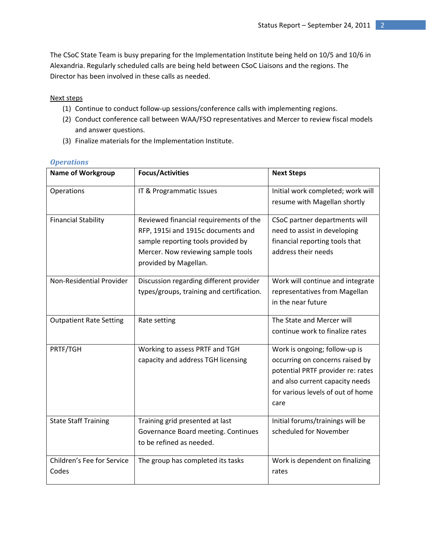The CSoC State Team is busy preparing for the Implementation Institute being held on 10/5 and 10/6 in Alexandria. Regularly scheduled calls are being held between CSoC Liaisons and the regions. The Director has been involved in these calls as needed.

#### Next steps

- (1) Continue to conduct follow‐up sessions/conference calls with implementing regions.
- (2) Conduct conference call between WAA/FSO representatives and Mercer to review fiscal models and answer questions.
- (3) Finalize materials for the Implementation Institute.

| <b>Name of Workgroup</b>            | <b>Focus/Activities</b>                                                                                                                                                           | <b>Next Steps</b>                                                                                                                                                                     |
|-------------------------------------|-----------------------------------------------------------------------------------------------------------------------------------------------------------------------------------|---------------------------------------------------------------------------------------------------------------------------------------------------------------------------------------|
| Operations                          | IT & Programmatic Issues                                                                                                                                                          | Initial work completed; work will<br>resume with Magellan shortly                                                                                                                     |
| <b>Financial Stability</b>          | Reviewed financial requirements of the<br>RFP, 1915i and 1915c documents and<br>sample reporting tools provided by<br>Mercer. Now reviewing sample tools<br>provided by Magellan. | CSoC partner departments will<br>need to assist in developing<br>financial reporting tools that<br>address their needs                                                                |
| Non-Residential Provider            | Discussion regarding different provider<br>types/groups, training and certification.                                                                                              | Work will continue and integrate<br>representatives from Magellan<br>in the near future                                                                                               |
| <b>Outpatient Rate Setting</b>      | Rate setting                                                                                                                                                                      | The State and Mercer will<br>continue work to finalize rates                                                                                                                          |
| PRTF/TGH                            | Working to assess PRTF and TGH<br>capacity and address TGH licensing                                                                                                              | Work is ongoing; follow-up is<br>occurring on concerns raised by<br>potential PRTF provider re: rates<br>and also current capacity needs<br>for various levels of out of home<br>care |
| <b>State Staff Training</b>         | Training grid presented at last<br>Governance Board meeting. Continues<br>to be refined as needed.                                                                                | Initial forums/trainings will be<br>scheduled for November                                                                                                                            |
| Children's Fee for Service<br>Codes | The group has completed its tasks                                                                                                                                                 | Work is dependent on finalizing<br>rates                                                                                                                                              |

#### *Operations*